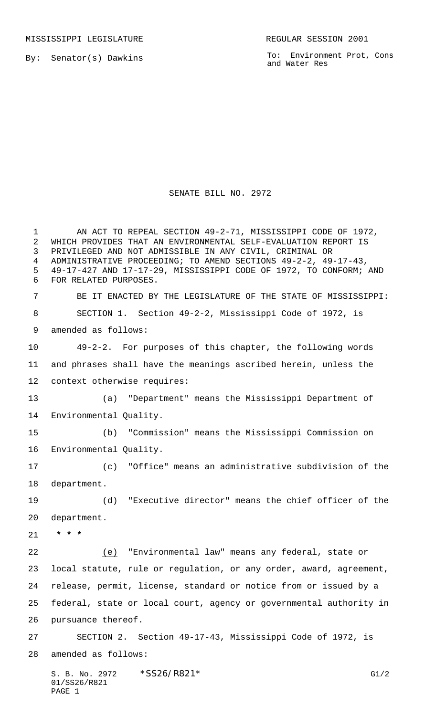MISSISSIPPI LEGISLATURE **REGULAR SESSION 2001** 

By: Senator(s) Dawkins

PAGE 1

To: Environment Prot, Cons and Water Res

## SENATE BILL NO. 2972

S. B. No. 2972 \* SS26/R821\* G1/2 01/SS26/R821 AN ACT TO REPEAL SECTION 49-2-71, MISSISSIPPI CODE OF 1972, WHICH PROVIDES THAT AN ENVIRONMENTAL SELF-EVALUATION REPORT IS PRIVILEGED AND NOT ADMISSIBLE IN ANY CIVIL, CRIMINAL OR ADMINISTRATIVE PROCEEDING; TO AMEND SECTIONS 49-2-2, 49-17-43, 49-17-427 AND 17-17-29, MISSISSIPPI CODE OF 1972, TO CONFORM; AND FOR RELATED PURPOSES. BE IT ENACTED BY THE LEGISLATURE OF THE STATE OF MISSISSIPPI: SECTION 1. Section 49-2-2, Mississippi Code of 1972, is amended as follows: 49-2-2. For purposes of this chapter, the following words and phrases shall have the meanings ascribed herein, unless the context otherwise requires: (a) "Department" means the Mississippi Department of Environmental Quality. (b) "Commission" means the Mississippi Commission on Environmental Quality. (c) "Office" means an administrative subdivision of the department. (d) "Executive director" means the chief officer of the department.  **\* \* \*** (e) "Environmental law" means any federal, state or local statute, rule or regulation, or any order, award, agreement, release, permit, license, standard or notice from or issued by a federal, state or local court, agency or governmental authority in pursuance thereof. SECTION 2. Section 49-17-43, Mississippi Code of 1972, is amended as follows: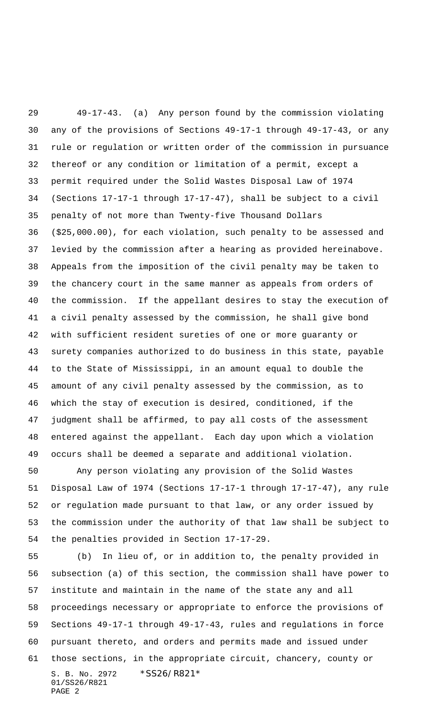49-17-43. (a) Any person found by the commission violating any of the provisions of Sections 49-17-1 through 49-17-43, or any rule or regulation or written order of the commission in pursuance thereof or any condition or limitation of a permit, except a permit required under the Solid Wastes Disposal Law of 1974 (Sections 17-17-1 through 17-17-47), shall be subject to a civil penalty of not more than Twenty-five Thousand Dollars (\$25,000.00), for each violation, such penalty to be assessed and levied by the commission after a hearing as provided hereinabove. Appeals from the imposition of the civil penalty may be taken to the chancery court in the same manner as appeals from orders of the commission. If the appellant desires to stay the execution of a civil penalty assessed by the commission, he shall give bond with sufficient resident sureties of one or more guaranty or surety companies authorized to do business in this state, payable to the State of Mississippi, in an amount equal to double the amount of any civil penalty assessed by the commission, as to which the stay of execution is desired, conditioned, if the judgment shall be affirmed, to pay all costs of the assessment entered against the appellant. Each day upon which a violation occurs shall be deemed a separate and additional violation.

 Any person violating any provision of the Solid Wastes Disposal Law of 1974 (Sections 17-17-1 through 17-17-47), any rule or regulation made pursuant to that law, or any order issued by the commission under the authority of that law shall be subject to the penalties provided in Section 17-17-29.

S. B. No. 2972 \* SS26/R821\* 01/SS26/R821 PAGE 2 (b) In lieu of, or in addition to, the penalty provided in subsection (a) of this section, the commission shall have power to institute and maintain in the name of the state any and all proceedings necessary or appropriate to enforce the provisions of Sections 49-17-1 through 49-17-43, rules and regulations in force pursuant thereto, and orders and permits made and issued under those sections, in the appropriate circuit, chancery, county or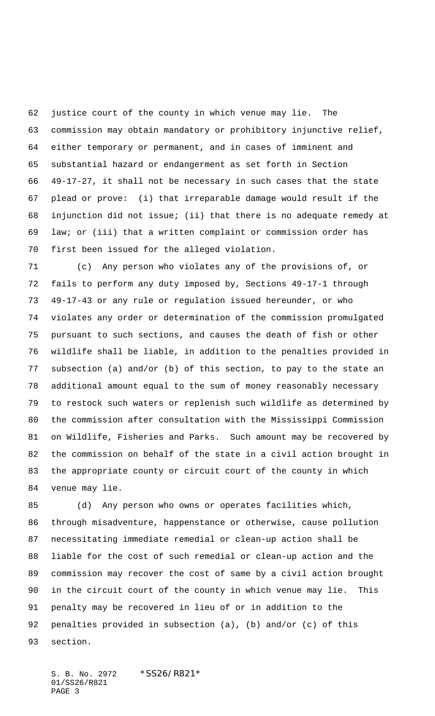justice court of the county in which venue may lie. The commission may obtain mandatory or prohibitory injunctive relief, either temporary or permanent, and in cases of imminent and substantial hazard or endangerment as set forth in Section 49-17-27, it shall not be necessary in such cases that the state plead or prove: (i) that irreparable damage would result if the injunction did not issue; (ii) that there is no adequate remedy at law; or (iii) that a written complaint or commission order has first been issued for the alleged violation.

 (c) Any person who violates any of the provisions of, or fails to perform any duty imposed by, Sections 49-17-1 through 49-17-43 or any rule or regulation issued hereunder, or who violates any order or determination of the commission promulgated pursuant to such sections, and causes the death of fish or other wildlife shall be liable, in addition to the penalties provided in subsection (a) and/or (b) of this section, to pay to the state an additional amount equal to the sum of money reasonably necessary to restock such waters or replenish such wildlife as determined by the commission after consultation with the Mississippi Commission on Wildlife, Fisheries and Parks. Such amount may be recovered by the commission on behalf of the state in a civil action brought in the appropriate county or circuit court of the county in which venue may lie.

 (d) Any person who owns or operates facilities which, through misadventure, happenstance or otherwise, cause pollution necessitating immediate remedial or clean-up action shall be liable for the cost of such remedial or clean-up action and the commission may recover the cost of same by a civil action brought in the circuit court of the county in which venue may lie. This penalty may be recovered in lieu of or in addition to the penalties provided in subsection (a), (b) and/or (c) of this section.

S. B. No. 2972 \* SS26/R821\* 01/SS26/R821 PAGE 3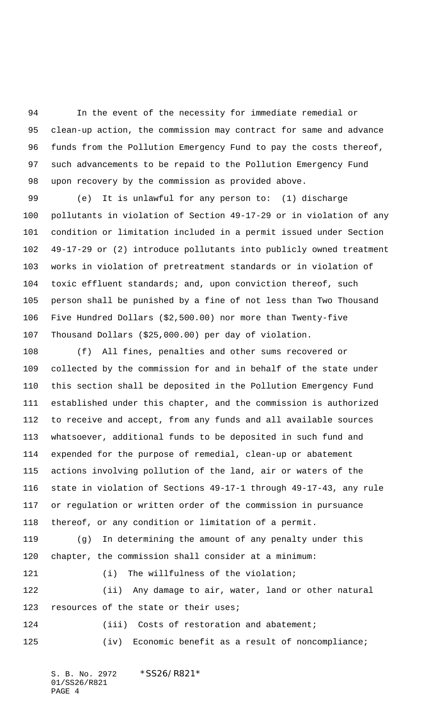In the event of the necessity for immediate remedial or clean-up action, the commission may contract for same and advance funds from the Pollution Emergency Fund to pay the costs thereof, such advancements to be repaid to the Pollution Emergency Fund upon recovery by the commission as provided above.

 (e) It is unlawful for any person to: (1) discharge pollutants in violation of Section 49-17-29 or in violation of any condition or limitation included in a permit issued under Section 49-17-29 or (2) introduce pollutants into publicly owned treatment works in violation of pretreatment standards or in violation of toxic effluent standards; and, upon conviction thereof, such person shall be punished by a fine of not less than Two Thousand Five Hundred Dollars (\$2,500.00) nor more than Twenty-five Thousand Dollars (\$25,000.00) per day of violation.

 (f) All fines, penalties and other sums recovered or collected by the commission for and in behalf of the state under this section shall be deposited in the Pollution Emergency Fund established under this chapter, and the commission is authorized to receive and accept, from any funds and all available sources whatsoever, additional funds to be deposited in such fund and expended for the purpose of remedial, clean-up or abatement actions involving pollution of the land, air or waters of the state in violation of Sections 49-17-1 through 49-17-43, any rule or regulation or written order of the commission in pursuance thereof, or any condition or limitation of a permit.

 (g) In determining the amount of any penalty under this chapter, the commission shall consider at a minimum:

121 (i) The willfulness of the violation; (ii) Any damage to air, water, land or other natural 123 resources of the state or their uses;

 (iii) Costs of restoration and abatement; 125 (iv) Economic benefit as a result of noncompliance;

S. B. No. 2972 \* SS26/R821\* 01/SS26/R821 PAGE 4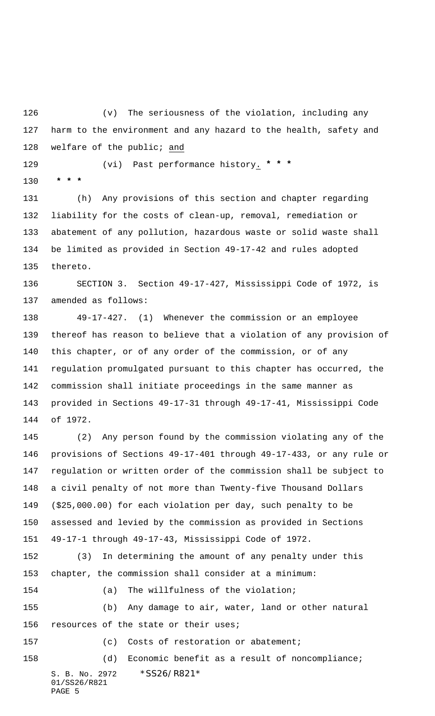(v) The seriousness of the violation, including any harm to the environment and any hazard to the health, safety and 128 welfare of the public; and

(vi) Past performance history. **\* \* \***

 **\* \* \***

 (h) Any provisions of this section and chapter regarding liability for the costs of clean-up, removal, remediation or abatement of any pollution, hazardous waste or solid waste shall be limited as provided in Section 49-17-42 and rules adopted thereto.

 SECTION 3. Section 49-17-427, Mississippi Code of 1972, is amended as follows:

 49-17-427. (1) Whenever the commission or an employee thereof has reason to believe that a violation of any provision of this chapter, or of any order of the commission, or of any regulation promulgated pursuant to this chapter has occurred, the commission shall initiate proceedings in the same manner as provided in Sections 49-17-31 through 49-17-41, Mississippi Code of 1972.

 (2) Any person found by the commission violating any of the provisions of Sections 49-17-401 through 49-17-433, or any rule or regulation or written order of the commission shall be subject to a civil penalty of not more than Twenty-five Thousand Dollars (\$25,000.00) for each violation per day, such penalty to be assessed and levied by the commission as provided in Sections 49-17-1 through 49-17-43, Mississippi Code of 1972.

 (3) In determining the amount of any penalty under this chapter, the commission shall consider at a minimum:

 (b) Any damage to air, water, land or other natural 156 resources of the state or their uses;

(c) Costs of restoration or abatement;

(a) The willfulness of the violation;

S. B. No. 2972 \* SS26/R821\* 01/SS26/R821 (d) Economic benefit as a result of noncompliance;

```
PAGE 5
```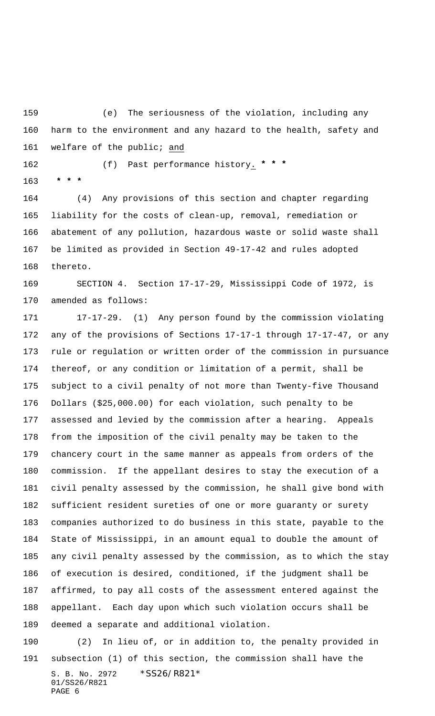(e) The seriousness of the violation, including any harm to the environment and any hazard to the health, safety and 161 welfare of the public; and

(f) Past performance history. **\* \* \***

 **\* \* \***

 (4) Any provisions of this section and chapter regarding liability for the costs of clean-up, removal, remediation or abatement of any pollution, hazardous waste or solid waste shall be limited as provided in Section 49-17-42 and rules adopted thereto.

 SECTION 4. Section 17-17-29, Mississippi Code of 1972, is amended as follows:

 17-17-29. (1) Any person found by the commission violating any of the provisions of Sections 17-17-1 through 17-17-47, or any rule or regulation or written order of the commission in pursuance thereof, or any condition or limitation of a permit, shall be subject to a civil penalty of not more than Twenty-five Thousand Dollars (\$25,000.00) for each violation, such penalty to be assessed and levied by the commission after a hearing. Appeals from the imposition of the civil penalty may be taken to the chancery court in the same manner as appeals from orders of the commission. If the appellant desires to stay the execution of a civil penalty assessed by the commission, he shall give bond with sufficient resident sureties of one or more guaranty or surety companies authorized to do business in this state, payable to the State of Mississippi, in an amount equal to double the amount of any civil penalty assessed by the commission, as to which the stay of execution is desired, conditioned, if the judgment shall be affirmed, to pay all costs of the assessment entered against the appellant. Each day upon which such violation occurs shall be deemed a separate and additional violation.

S. B. No. 2972 \* SS26/R821\* 01/SS26/R821 PAGE 6 (2) In lieu of, or in addition to, the penalty provided in subsection (1) of this section, the commission shall have the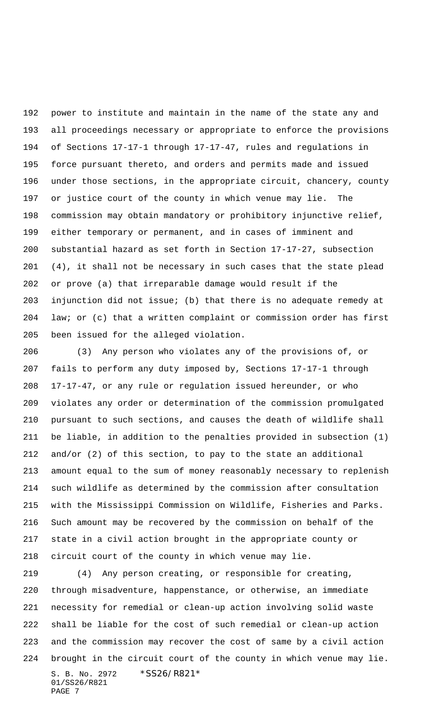power to institute and maintain in the name of the state any and all proceedings necessary or appropriate to enforce the provisions of Sections 17-17-1 through 17-17-47, rules and regulations in force pursuant thereto, and orders and permits made and issued under those sections, in the appropriate circuit, chancery, county or justice court of the county in which venue may lie. The commission may obtain mandatory or prohibitory injunctive relief, either temporary or permanent, and in cases of imminent and substantial hazard as set forth in Section 17-17-27, subsection (4), it shall not be necessary in such cases that the state plead or prove (a) that irreparable damage would result if the injunction did not issue; (b) that there is no adequate remedy at law; or (c) that a written complaint or commission order has first been issued for the alleged violation.

 (3) Any person who violates any of the provisions of, or fails to perform any duty imposed by, Sections 17-17-1 through 17-17-47, or any rule or regulation issued hereunder, or who violates any order or determination of the commission promulgated pursuant to such sections, and causes the death of wildlife shall be liable, in addition to the penalties provided in subsection (1) and/or (2) of this section, to pay to the state an additional amount equal to the sum of money reasonably necessary to replenish such wildlife as determined by the commission after consultation with the Mississippi Commission on Wildlife, Fisheries and Parks. Such amount may be recovered by the commission on behalf of the state in a civil action brought in the appropriate county or circuit court of the county in which venue may lie.

S. B. No. 2972 \*SS26/R821\* 01/SS26/R821 PAGE 7 (4) Any person creating, or responsible for creating, through misadventure, happenstance, or otherwise, an immediate necessity for remedial or clean-up action involving solid waste shall be liable for the cost of such remedial or clean-up action and the commission may recover the cost of same by a civil action brought in the circuit court of the county in which venue may lie.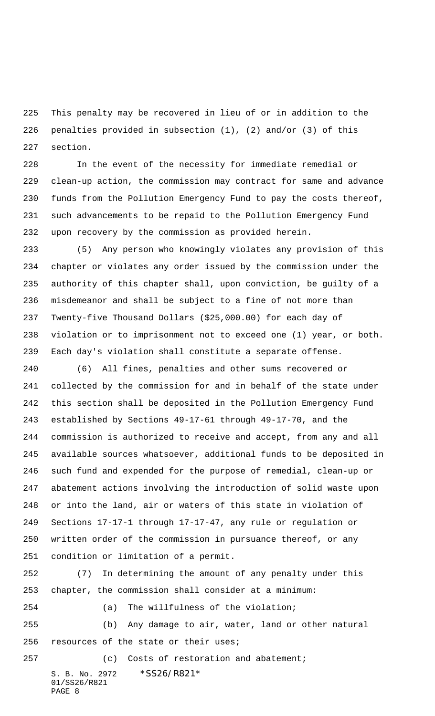This penalty may be recovered in lieu of or in addition to the penalties provided in subsection (1), (2) and/or (3) of this section.

 In the event of the necessity for immediate remedial or clean-up action, the commission may contract for same and advance funds from the Pollution Emergency Fund to pay the costs thereof, such advancements to be repaid to the Pollution Emergency Fund upon recovery by the commission as provided herein.

 (5) Any person who knowingly violates any provision of this chapter or violates any order issued by the commission under the authority of this chapter shall, upon conviction, be guilty of a misdemeanor and shall be subject to a fine of not more than Twenty-five Thousand Dollars (\$25,000.00) for each day of violation or to imprisonment not to exceed one (1) year, or both. Each day's violation shall constitute a separate offense.

 (6) All fines, penalties and other sums recovered or collected by the commission for and in behalf of the state under this section shall be deposited in the Pollution Emergency Fund established by Sections 49-17-61 through 49-17-70, and the commission is authorized to receive and accept, from any and all available sources whatsoever, additional funds to be deposited in such fund and expended for the purpose of remedial, clean-up or abatement actions involving the introduction of solid waste upon or into the land, air or waters of this state in violation of Sections 17-17-1 through 17-17-47, any rule or regulation or written order of the commission in pursuance thereof, or any condition or limitation of a permit.

 (7) In determining the amount of any penalty under this chapter, the commission shall consider at a minimum:

(a) The willfulness of the violation;

 (b) Any damage to air, water, land or other natural resources of the state or their uses;

S. B. No. 2972 \* SS26/R821\* 01/SS26/R821 PAGE 8 257 (c) Costs of restoration and abatement;